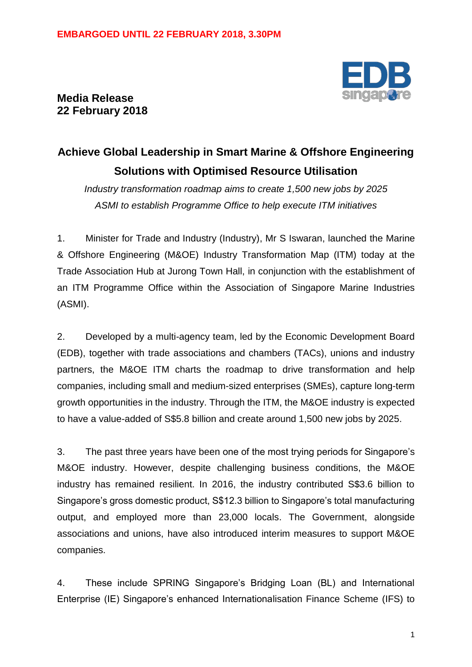

## **Media Release 22 February 2018**

# **Achieve Global Leadership in Smart Marine & Offshore Engineering Solutions with Optimised Resource Utilisation**

*Industry transformation roadmap aims to create 1,500 new jobs by 2025 ASMI to establish Programme Office to help execute ITM initiatives*

1. Minister for Trade and Industry (Industry), Mr S Iswaran, launched the Marine & Offshore Engineering (M&OE) Industry Transformation Map (ITM) today at the Trade Association Hub at Jurong Town Hall, in conjunction with the establishment of an ITM Programme Office within the Association of Singapore Marine Industries (ASMI).

2. Developed by a multi-agency team, led by the Economic Development Board (EDB), together with trade associations and chambers (TACs), unions and industry partners, the M&OE ITM charts the roadmap to drive transformation and help companies, including small and medium-sized enterprises (SMEs), capture long-term growth opportunities in the industry. Through the ITM, the M&OE industry is expected to have a value-added of S\$5.8 billion and create around 1,500 new jobs by 2025.

3. The past three years have been one of the most trying periods for Singapore's M&OE industry. However, despite challenging business conditions, the M&OE industry has remained resilient. In 2016, the industry contributed S\$3.6 billion to Singapore's gross domestic product, S\$12.3 billion to Singapore's total manufacturing output, and employed more than 23,000 locals. The Government, alongside associations and unions, have also introduced interim measures to support M&OE companies.

4. These include SPRING Singapore's Bridging Loan (BL) and International Enterprise (IE) Singapore's enhanced Internationalisation Finance Scheme (IFS) to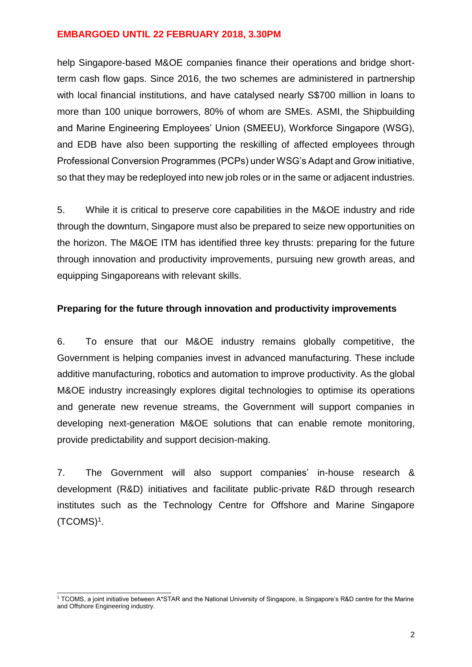help Singapore-based M&OE companies finance their operations and bridge shortterm cash flow gaps. Since 2016, the two schemes are administered in partnership with local financial institutions, and have catalysed nearly S\$700 million in loans to more than 100 unique borrowers, 80% of whom are SMEs. ASMI, the Shipbuilding and Marine Engineering Employees' Union (SMEEU), Workforce Singapore (WSG), and EDB have also been supporting the reskilling of affected employees through Professional Conversion Programmes (PCPs) under WSG's Adapt and Grow initiative, so that they may be redeployed into new job roles or in the same or adjacent industries.

5. While it is critical to preserve core capabilities in the M&OE industry and ride through the downturn, Singapore must also be prepared to seize new opportunities on the horizon. The M&OE ITM has identified three key thrusts: preparing for the future through innovation and productivity improvements, pursuing new growth areas, and equipping Singaporeans with relevant skills.

#### **Preparing for the future through innovation and productivity improvements**

6. To ensure that our M&OE industry remains globally competitive, the Government is helping companies invest in advanced manufacturing. These include additive manufacturing, robotics and automation to improve productivity. As the global M&OE industry increasingly explores digital technologies to optimise its operations and generate new revenue streams, the Government will support companies in developing next-generation M&OE solutions that can enable remote monitoring, provide predictability and support decision-making.

7. The Government will also support companies' in-house research & development (R&D) initiatives and facilitate public-private R&D through research institutes such as the Technology Centre for Offshore and Marine Singapore (TCOMS)<sup>1</sup> .

 <sup>1</sup> TCOMS, a joint initiative between A\*STAR and the National University of Singapore, is Singapore's R&D centre for the Marine and Offshore Engineering industry.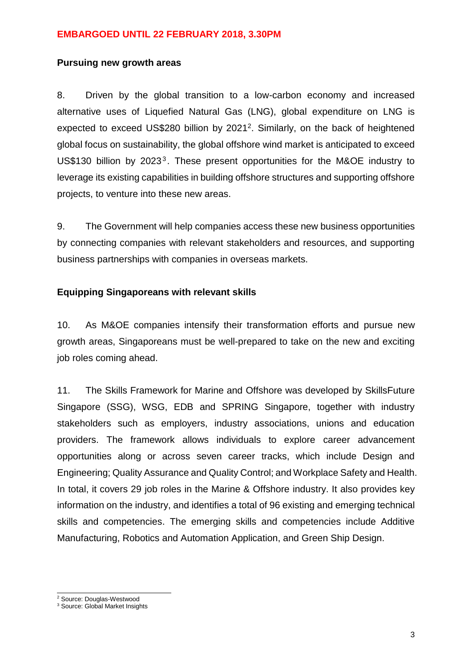#### **Pursuing new growth areas**

8. Driven by the global transition to a low-carbon economy and increased alternative uses of Liquefied Natural Gas (LNG), global expenditure on LNG is expected to exceed US\$280 billion by 2021<sup>2</sup>. Similarly, on the back of heightened global focus on sustainability, the global offshore wind market is anticipated to exceed US\$130 billion by 2023<sup>3</sup>. These present opportunities for the M&OE industry to leverage its existing capabilities in building offshore structures and supporting offshore projects, to venture into these new areas.

9. The Government will help companies access these new business opportunities by connecting companies with relevant stakeholders and resources, and supporting business partnerships with companies in overseas markets.

#### **Equipping Singaporeans with relevant skills**

10. As M&OE companies intensify their transformation efforts and pursue new growth areas, Singaporeans must be well-prepared to take on the new and exciting job roles coming ahead.

11. The Skills Framework for Marine and Offshore was developed by SkillsFuture Singapore (SSG), WSG, EDB and SPRING Singapore, together with industry stakeholders such as employers, industry associations, unions and education providers. The framework allows individuals to explore career advancement opportunities along or across seven career tracks, which include Design and Engineering; Quality Assurance and Quality Control; and Workplace Safety and Health. In total, it covers 29 job roles in the Marine & Offshore industry. It also provides key information on the industry, and identifies a total of 96 existing and emerging technical skills and competencies. The emerging skills and competencies include Additive Manufacturing, Robotics and Automation Application, and Green Ship Design.

 <sup>2</sup> Source: Douglas-Westwood

<sup>3</sup> Source: Global Market Insights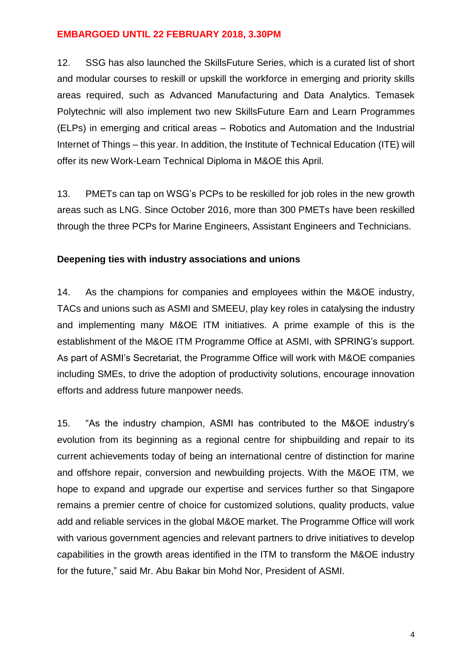12. SSG has also launched the SkillsFuture Series, which is a curated list of short and modular courses to reskill or upskill the workforce in emerging and priority skills areas required, such as Advanced Manufacturing and Data Analytics. Temasek Polytechnic will also implement two new SkillsFuture Earn and Learn Programmes (ELPs) in emerging and critical areas – Robotics and Automation and the Industrial Internet of Things – this year. In addition, the Institute of Technical Education (ITE) will offer its new Work-Learn Technical Diploma in M&OE this April.

13. PMETs can tap on WSG's PCPs to be reskilled for job roles in the new growth areas such as LNG. Since October 2016, more than 300 PMETs have been reskilled through the three PCPs for Marine Engineers, Assistant Engineers and Technicians.

#### **Deepening ties with industry associations and unions**

14. As the champions for companies and employees within the M&OE industry, TACs and unions such as ASMI and SMEEU, play key roles in catalysing the industry and implementing many M&OE ITM initiatives. A prime example of this is the establishment of the M&OE ITM Programme Office at ASMI, with SPRING's support. As part of ASMI's Secretariat, the Programme Office will work with M&OE companies including SMEs, to drive the adoption of productivity solutions, encourage innovation efforts and address future manpower needs.

15. "As the industry champion, ASMI has contributed to the M&OE industry's evolution from its beginning as a regional centre for shipbuilding and repair to its current achievements today of being an international centre of distinction for marine and offshore repair, conversion and newbuilding projects. With the M&OE ITM, we hope to expand and upgrade our expertise and services further so that Singapore remains a premier centre of choice for customized solutions, quality products, value add and reliable services in the global M&OE market. The Programme Office will work with various government agencies and relevant partners to drive initiatives to develop capabilities in the growth areas identified in the ITM to transform the M&OE industry for the future," said Mr. Abu Bakar bin Mohd Nor, President of ASMI.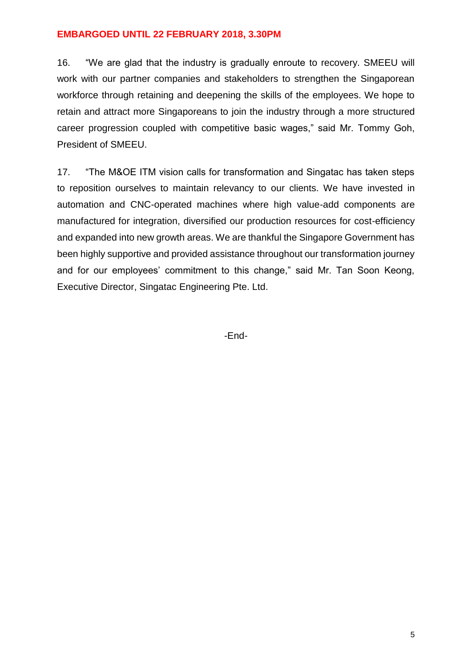16. "We are glad that the industry is gradually enroute to recovery. SMEEU will work with our partner companies and stakeholders to strengthen the Singaporean workforce through retaining and deepening the skills of the employees. We hope to retain and attract more Singaporeans to join the industry through a more structured career progression coupled with competitive basic wages," said Mr. Tommy Goh, President of SMEEU.

17. "The M&OE ITM vision calls for transformation and Singatac has taken steps to reposition ourselves to maintain relevancy to our clients. We have invested in automation and CNC-operated machines where high value-add components are manufactured for integration, diversified our production resources for cost-efficiency and expanded into new growth areas. We are thankful the Singapore Government has been highly supportive and provided assistance throughout our transformation journey and for our employees' commitment to this change," said Mr. Tan Soon Keong, Executive Director, Singatac Engineering Pte. Ltd.

-End-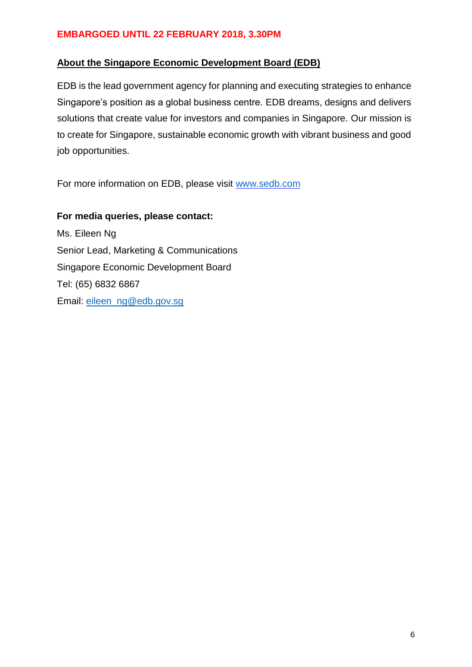### **About the Singapore Economic Development Board (EDB)**

EDB is the lead government agency for planning and executing strategies to enhance Singapore's position as a global business centre. EDB dreams, designs and delivers solutions that create value for investors and companies in Singapore. Our mission is to create for Singapore, sustainable economic growth with vibrant business and good job opportunities.

For more information on EDB, please visit [www.sedb.com](http://www.sedb.com/)

**For media queries, please contact:** Ms. Eileen Ng Senior Lead, Marketing & Communications Singapore Economic Development Board Tel: (65) 6832 6867 Email: [eileen\\_ng@edb.gov.sg](mailto:eileen_ng@edb.gov.sg)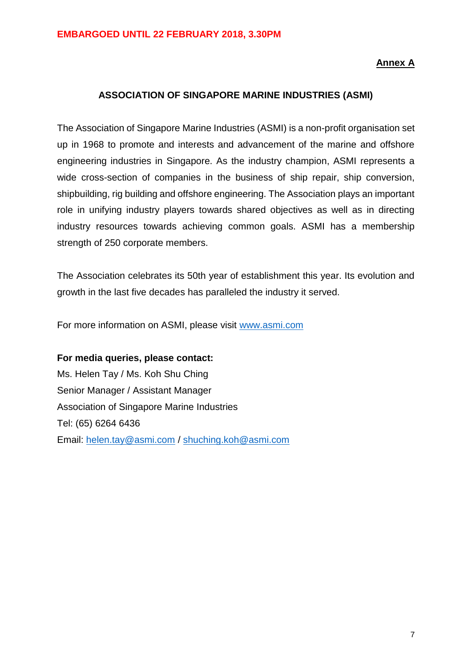## **Annex A**

#### **ASSOCIATION OF SINGAPORE MARINE INDUSTRIES (ASMI)**

The Association of Singapore Marine Industries (ASMI) is a non-profit organisation set up in 1968 to promote and interests and advancement of the marine and offshore engineering industries in Singapore. As the industry champion, ASMI represents a wide cross-section of companies in the business of ship repair, ship conversion, shipbuilding, rig building and offshore engineering. The Association plays an important role in unifying industry players towards shared objectives as well as in directing industry resources towards achieving common goals. ASMI has a membership strength of 250 corporate members.

The Association celebrates its 50th year of establishment this year. Its evolution and growth in the last five decades has paralleled the industry it served.

For more information on ASMI, please visit [www.asmi.com](http://www.asmi.com/)

**For media queries, please contact:** Ms. Helen Tay / Ms. Koh Shu Ching Senior Manager / Assistant Manager Association of Singapore Marine Industries Tel: (65) 6264 6436 Email: [helen.tay@asmi.com](mailto:helen.tay@asmi.com) / [shuching.koh@asmi.com](mailto:shuching.koh@asmi.com)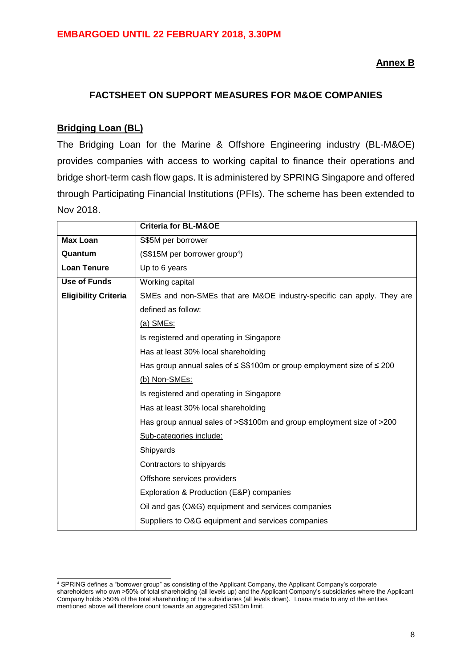### **Annex B**

### **FACTSHEET ON SUPPORT MEASURES FOR M&OE COMPANIES**

#### **Bridging Loan (BL)**

The Bridging Loan for the Marine & Offshore Engineering industry (BL-M&OE) provides companies with access to working capital to finance their operations and bridge short-term cash flow gaps. It is administered by SPRING Singapore and offered through Participating Financial Institutions (PFIs). The scheme has been extended to Nov 2018.

|                             | <b>Criteria for BL-M&amp;OE</b>                                                 |
|-----------------------------|---------------------------------------------------------------------------------|
| <b>Max Loan</b>             | S\$5M per borrower                                                              |
| Quantum                     | (S\$15M per borrower group <sup>4</sup> )                                       |
| <b>Loan Tenure</b>          | Up to 6 years                                                                   |
| <b>Use of Funds</b>         | Working capital                                                                 |
| <b>Eligibility Criteria</b> | SMEs and non-SMEs that are M&OE industry-specific can apply. They are           |
|                             | defined as follow:                                                              |
|                             | (a) SMEs:                                                                       |
|                             | Is registered and operating in Singapore                                        |
|                             | Has at least 30% local shareholding                                             |
|                             | Has group annual sales of $\leq$ S\$100m or group employment size of $\leq$ 200 |
|                             | (b) Non-SMEs:                                                                   |
|                             | Is registered and operating in Singapore                                        |
|                             | Has at least 30% local shareholding                                             |
|                             | Has group annual sales of >S\$100m and group employment size of >200            |
|                             | Sub-categories include:                                                         |
|                             | Shipyards                                                                       |
|                             | Contractors to shipyards                                                        |
|                             | Offshore services providers                                                     |
|                             | Exploration & Production (E&P) companies                                        |
|                             | Oil and gas (O&G) equipment and services companies                              |
|                             | Suppliers to O&G equipment and services companies                               |

 <sup>4</sup> SPRING defines a "borrower group" as consisting of the Applicant Company, the Applicant Company's corporate shareholders who own >50% of total shareholding (all levels up) and the Applicant Company's subsidiaries where the Applicant Company holds >50% of the total shareholding of the subsidiaries (all levels down). Loans made to any of the entities mentioned above will therefore count towards an aggregated S\$15m limit.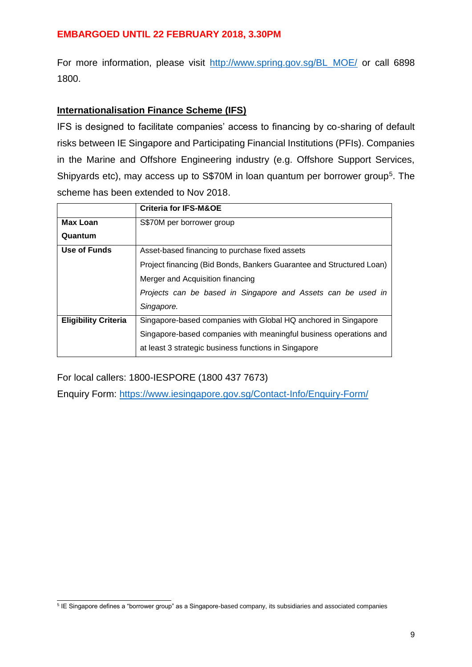For more information, please visit [http://www.spring.gov.sg/BL\\_MOE/](http://www.spring.gov.sg/BL_MOE/) or call 6898 1800.

## **Internationalisation Finance Scheme (IFS)**

IFS is designed to facilitate companies' access to financing by co-sharing of default risks between IE Singapore and Participating Financial Institutions (PFIs). Companies in the Marine and Offshore Engineering industry (e.g. Offshore Support Services, Shipyards etc), may access up to S\$70M in loan quantum per borrower group<sup>5</sup>. The scheme has been extended to Nov 2018.

|                             | <b>Criteria for IFS-M&amp;OE</b>                                     |  |
|-----------------------------|----------------------------------------------------------------------|--|
| <b>Max Loan</b>             | S\$70M per borrower group                                            |  |
| Quantum                     |                                                                      |  |
| Use of Funds                | Asset-based financing to purchase fixed assets                       |  |
|                             | Project financing (Bid Bonds, Bankers Guarantee and Structured Loan) |  |
|                             | Merger and Acquisition financing                                     |  |
|                             | Projects can be based in Singapore and Assets can be used in         |  |
|                             | Singapore.                                                           |  |
| <b>Eligibility Criteria</b> | Singapore-based companies with Global HQ anchored in Singapore       |  |
|                             | Singapore-based companies with meaningful business operations and    |  |
|                             | at least 3 strategic business functions in Singapore                 |  |

For local callers: 1800-IESPORE (1800 437 7673)

Enquiry Form:<https://www.iesingapore.gov.sg/Contact-Info/Enquiry-Form/>

 5 IE Singapore defines a "borrower group" as a Singapore-based company, its subsidiaries and associated companies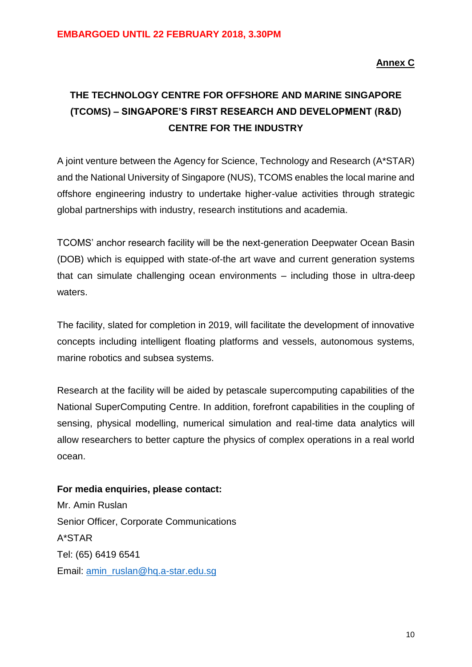**Annex C**

# **THE TECHNOLOGY CENTRE FOR OFFSHORE AND MARINE SINGAPORE (TCOMS) – SINGAPORE'S FIRST RESEARCH AND DEVELOPMENT (R&D) CENTRE FOR THE INDUSTRY**

A joint venture between the Agency for Science, Technology and Research (A\*STAR) and the National University of Singapore (NUS), TCOMS enables the local marine and offshore engineering industry to undertake higher-value activities through strategic global partnerships with industry, research institutions and academia.

TCOMS' anchor research facility will be the next-generation Deepwater Ocean Basin (DOB) which is equipped with state-of-the art wave and current generation systems that can simulate challenging ocean environments – including those in ultra-deep waters.

The facility, slated for completion in 2019, will facilitate the development of innovative concepts including intelligent floating platforms and vessels, autonomous systems, marine robotics and subsea systems.

Research at the facility will be aided by petascale supercomputing capabilities of the National SuperComputing Centre. In addition, forefront capabilities in the coupling of sensing, physical modelling, numerical simulation and real-time data analytics will allow researchers to better capture the physics of complex operations in a real world ocean.

## **For media enquiries, please contact:**

Mr. Amin Ruslan Senior Officer, Corporate Communications A\*STAR Tel: (65) 6419 6541 Email: [amin\\_ruslan@hq.a-star.edu.sg](mailto:amin_ruslan@hq.a-star.edu.sg)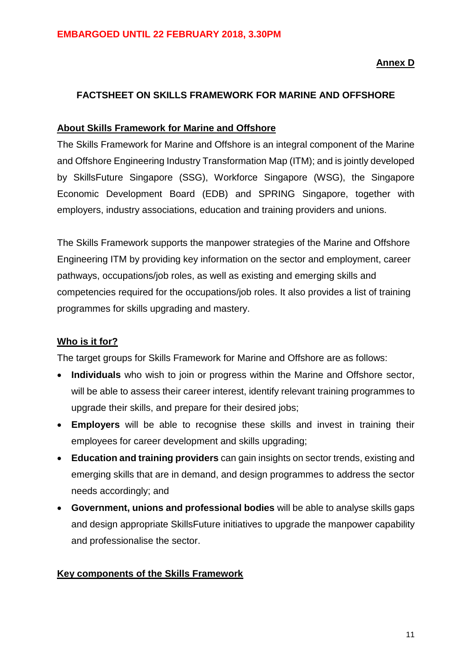## **Annex D**

## **FACTSHEET ON SKILLS FRAMEWORK FOR MARINE AND OFFSHORE**

## **About Skills Framework for Marine and Offshore**

The Skills Framework for Marine and Offshore is an integral component of the Marine and Offshore Engineering Industry Transformation Map (ITM); and is jointly developed by SkillsFuture Singapore (SSG), Workforce Singapore (WSG), the Singapore Economic Development Board (EDB) and SPRING Singapore, together with employers, industry associations, education and training providers and unions.

The Skills Framework supports the manpower strategies of the Marine and Offshore Engineering ITM by providing key information on the sector and employment, career pathways, occupations/job roles, as well as existing and emerging skills and competencies required for the occupations/job roles. It also provides a list of training programmes for skills upgrading and mastery.

## **Who is it for?**

The target groups for Skills Framework for Marine and Offshore are as follows:

- **Individuals** who wish to join or progress within the Marine and Offshore sector, will be able to assess their career interest, identify relevant training programmes to upgrade their skills, and prepare for their desired jobs;
- **Employers** will be able to recognise these skills and invest in training their employees for career development and skills upgrading;
- **Education and training providers** can gain insights on sector trends, existing and emerging skills that are in demand, and design programmes to address the sector needs accordingly; and
- **Government, unions and professional bodies** will be able to analyse skills gaps and design appropriate SkillsFuture initiatives to upgrade the manpower capability and professionalise the sector.

## **Key components of the Skills Framework**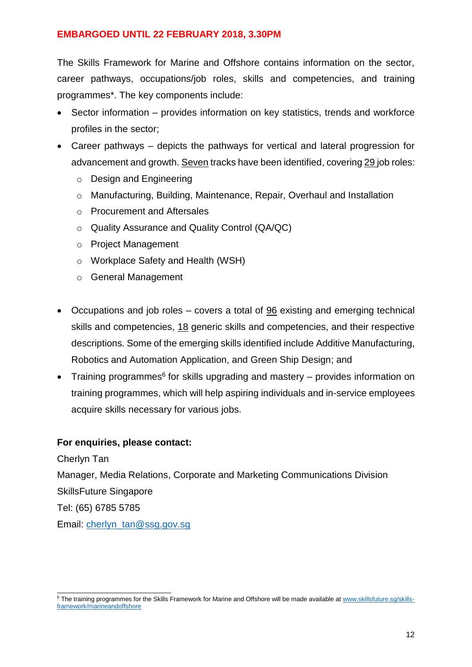The Skills Framework for Marine and Offshore contains information on the sector, career pathways, occupations/job roles, skills and competencies, and training programmes\*. The key components include:

- Sector information provides information on key statistics, trends and workforce profiles in the sector;
- Career pathways depicts the pathways for vertical and lateral progression for advancement and growth. Seven tracks have been identified, covering 29 job roles:
	- o Design and Engineering
	- o Manufacturing, Building, Maintenance, Repair, Overhaul and Installation
	- o Procurement and Aftersales
	- o Quality Assurance and Quality Control (QA/QC)
	- o Project Management
	- o Workplace Safety and Health (WSH)
	- o General Management
- Occupations and job roles covers a total of 96 existing and emerging technical skills and competencies, 18 generic skills and competencies, and their respective descriptions. Some of the emerging skills identified include Additive Manufacturing, Robotics and Automation Application, and Green Ship Design; and
- Training programmes<sup>6</sup> for skills upgrading and mastery  $-$  provides information on training programmes, which will help aspiring individuals and in-service employees acquire skills necessary for various jobs.

## **For enquiries, please contact:**

Cherlyn Tan Manager, Media Relations, Corporate and Marketing Communications Division SkillsFuture Singapore Tel: (65) 6785 5785 Email: [cherlyn\\_tan@ssg.gov.sg](mailto:cherlyn_tan@ssg.gov.sg)

 <sup>6</sup> The training programmes for the Skills Framework for Marine and Offshore will be made available a[t www.skillsfuture.sg/skills](http://www.skillsfuture.sg/skills-framework)[framework/m](http://www.skillsfuture.sg/skills-framework)arineandoffshore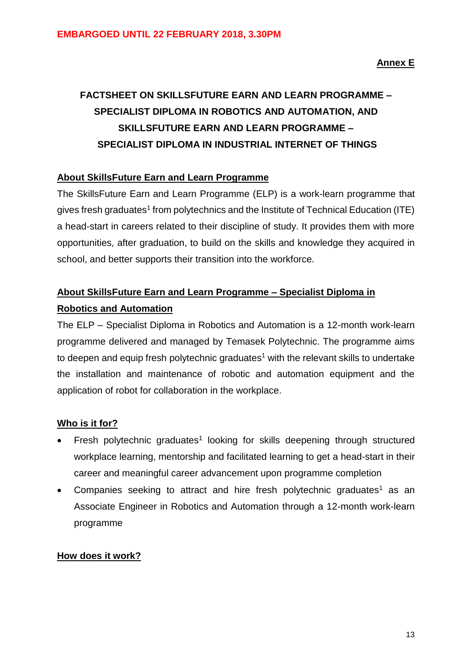**Annex E**

# **FACTSHEET ON SKILLSFUTURE EARN AND LEARN PROGRAMME – SPECIALIST DIPLOMA IN ROBOTICS AND AUTOMATION, AND SKILLSFUTURE EARN AND LEARN PROGRAMME – SPECIALIST DIPLOMA IN INDUSTRIAL INTERNET OF THINGS**

## **About SkillsFuture Earn and Learn Programme**

The SkillsFuture Earn and Learn Programme (ELP) is a work-learn programme that gives fresh graduates<sup>1</sup> from polytechnics and the Institute of Technical Education (ITE) a head-start in careers related to their discipline of study. It provides them with more opportunities, after graduation, to build on the skills and knowledge they acquired in school, and better supports their transition into the workforce.

## **About SkillsFuture Earn and Learn Programme – Specialist Diploma in Robotics and Automation**

The ELP – Specialist Diploma in Robotics and Automation is a 12-month work-learn programme delivered and managed by Temasek Polytechnic. The programme aims to deepen and equip fresh polytechnic graduates<sup>1</sup> with the relevant skills to undertake the installation and maintenance of robotic and automation equipment and the application of robot for collaboration in the workplace.

#### **Who is it for?**

- Fresh polytechnic graduates<sup>1</sup> looking for skills deepening through structured workplace learning, mentorship and facilitated learning to get a head-start in their career and meaningful career advancement upon programme completion
- Companies seeking to attract and hire fresh polytechnic graduates<sup>1</sup> as an Associate Engineer in Robotics and Automation through a 12-month work-learn programme

#### **How does it work?**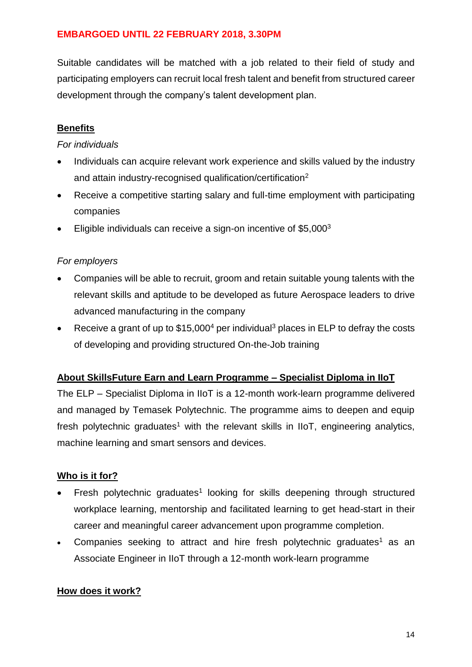Suitable candidates will be matched with a job related to their field of study and participating employers can recruit local fresh talent and benefit from structured career development through the company's talent development plan.

## **Benefits**

### *For individuals*

- Individuals can acquire relevant work experience and skills valued by the industry and attain industry-recognised qualification/certification<sup>2</sup>
- Receive a competitive starting salary and full-time employment with participating companies
- **Eligible individuals can receive a sign-on incentive of**  $$5,000^3$

## *For employers*

- Companies will be able to recruit, groom and retain suitable young talents with the relevant skills and aptitude to be developed as future Aerospace leaders to drive advanced manufacturing in the company
- Receive a grant of up to  $$15,000<sup>4</sup>$  per individual<sup>3</sup> places in ELP to defray the costs of developing and providing structured On-the-Job training

## **About SkillsFuture Earn and Learn Programme – Specialist Diploma in IIoT**

The ELP – Specialist Diploma in IIoT is a 12-month work-learn programme delivered and managed by Temasek Polytechnic. The programme aims to deepen and equip fresh polytechnic graduates<sup>1</sup> with the relevant skills in IIoT, engineering analytics, machine learning and smart sensors and devices.

## **Who is it for?**

- Fresh polytechnic graduates<sup>1</sup> looking for skills deepening through structured workplace learning, mentorship and facilitated learning to get head-start in their career and meaningful career advancement upon programme completion.
- Companies seeking to attract and hire fresh polytechnic graduates<sup>1</sup> as an Associate Engineer in IIoT through a 12-month work-learn programme

#### **How does it work?**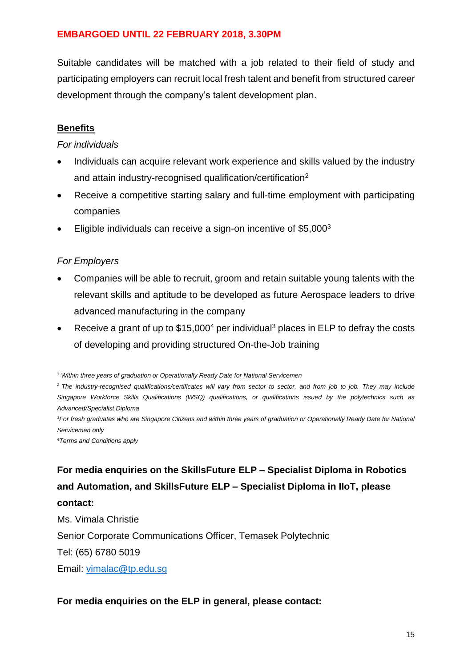Suitable candidates will be matched with a job related to their field of study and participating employers can recruit local fresh talent and benefit from structured career development through the company's talent development plan.

## **Benefits**

#### *For individuals*

- Individuals can acquire relevant work experience and skills valued by the industry and attain industry-recognised qualification/certification<sup>2</sup>
- Receive a competitive starting salary and full-time employment with participating companies
- Eligible individuals can receive a sign-on incentive of \$5,000<sup>3</sup>

#### *For Employers*

- Companies will be able to recruit, groom and retain suitable young talents with the relevant skills and aptitude to be developed as future Aerospace leaders to drive advanced manufacturing in the company
- Receive a grant of up to  $$15,000<sup>4</sup>$  per individual<sup>3</sup> places in ELP to defray the costs of developing and providing structured On-the-Job training

*<sup>3</sup>For fresh graduates who are Singapore Citizens and within three years of graduation or Operationally Ready Date for National Servicemen only* 

*<sup>4</sup>Terms and Conditions apply* 

# **For media enquiries on the SkillsFuture ELP – Specialist Diploma in Robotics and Automation, and SkillsFuture ELP – Specialist Diploma in IIoT, please contact:**

Ms. Vimala Christie Senior Corporate Communications Officer, Temasek Polytechnic Tel: (65) 6780 5019 Email: [vimalac@tp.edu.sg](mailto:vimalac@tp.edu.sg)

#### **For media enquiries on the ELP in general, please contact:**

<sup>1</sup> *Within three years of graduation or Operationally Ready Date for National Servicemen*

*<sup>2</sup>The industry-recognised qualifications/certificates will vary from sector to sector, and from job to job. They may include Singapore Workforce Skills Qualifications (WSQ) qualifications, or qualifications issued by the polytechnics such as Advanced/Specialist Diploma*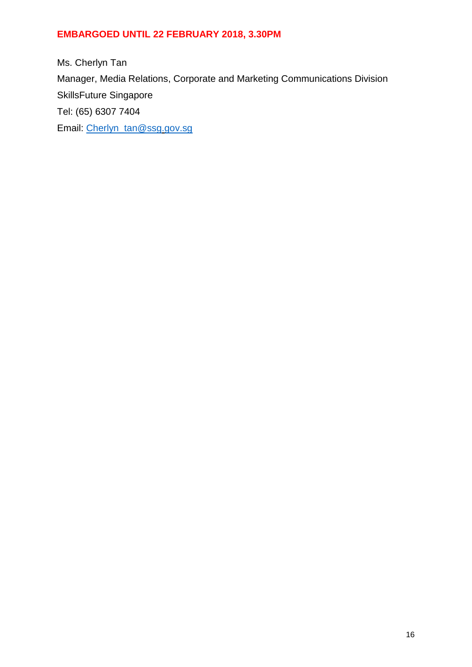Ms. Cherlyn Tan Manager, Media Relations, Corporate and Marketing Communications Division SkillsFuture Singapore Tel: (65) 6307 7404 Email: [Cherlyn\\_tan@ssg.gov.sg](mailto:Cherlyn_tan@ssg.gov.sg)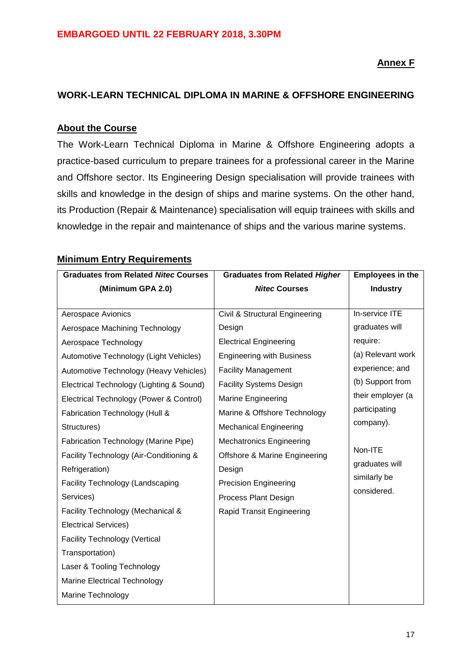## **Annex F**

### **WORK-LEARN TECHNICAL DIPLOMA IN MARINE & OFFSHORE ENGINEERING**

### **About the Course**

The Work-Learn Technical Diploma in Marine & Offshore Engineering adopts a practice-based curriculum to prepare trainees for a professional career in the Marine and Offshore sector. Its Engineering Design specialisation will provide trainees with skills and knowledge in the design of ships and marine systems. On the other hand, its Production (Repair & Maintenance) specialisation will equip trainees with skills and knowledge in the repair and maintenance of ships and the various marine systems.

#### **Minimum Entry Requirements**

| <b>Graduates from Related Nitec Courses</b> | <b>Graduates from Related Higher</b> | <b>Employees in the</b> |
|---------------------------------------------|--------------------------------------|-------------------------|
| (Minimum GPA 2.0)                           | <b>Nitec Courses</b>                 | <b>Industry</b>         |
|                                             |                                      |                         |
| Aerospace Avionics                          | Civil & Structural Engineering       | In-service ITE          |
| Aerospace Machining Technology              | Design                               | graduates will          |
| Aerospace Technology                        | <b>Electrical Engineering</b>        | require:                |
| Automotive Technology (Light Vehicles)      | <b>Engineering with Business</b>     | (a) Relevant work       |
| Automotive Technology (Heavy Vehicles)      | <b>Facility Management</b>           | experience; and         |
| Electrical Technology (Lighting & Sound)    | <b>Facility Systems Design</b>       | (b) Support from        |
| Electrical Technology (Power & Control)     | <b>Marine Engineering</b>            | their employer (a       |
| Fabrication Technology (Hull &              | Marine & Offshore Technology         | participating           |
| Structures)                                 | <b>Mechanical Engineering</b>        | company).               |
| Fabrication Technology (Marine Pipe)        | <b>Mechatronics Engineering</b>      |                         |
| Facility Technology (Air-Conditioning &     | Offshore & Marine Engineering        | Non-ITE                 |
| Refrigeration)                              | Design                               | graduates will          |
| <b>Facility Technology (Landscaping</b>     | <b>Precision Engineering</b>         | similarly be            |
| Services)                                   | Process Plant Design                 | considered.             |
| Facility Technology (Mechanical &           | <b>Rapid Transit Engineering</b>     |                         |
| <b>Electrical Services)</b>                 |                                      |                         |
| <b>Facility Technology (Vertical</b>        |                                      |                         |
| Transportation)                             |                                      |                         |
| Laser & Tooling Technology                  |                                      |                         |
| <b>Marine Electrical Technology</b>         |                                      |                         |
| Marine Technology                           |                                      |                         |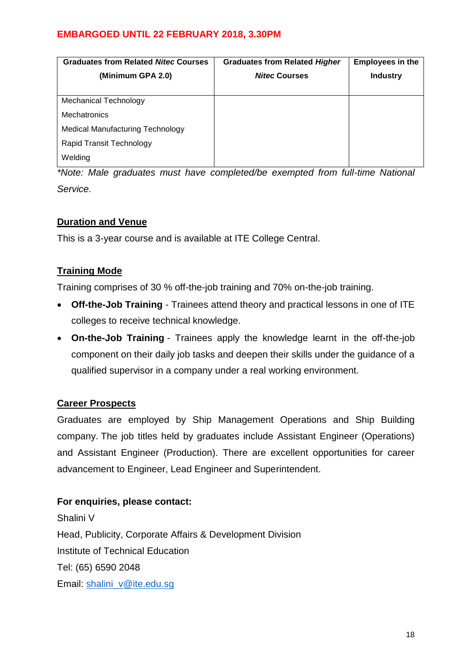| <b>Graduates from Related Nitec Courses</b> | <b>Graduates from Related Higher</b> | <b>Employees in the</b> |
|---------------------------------------------|--------------------------------------|-------------------------|
| (Minimum GPA 2.0)                           | <b>Nitec Courses</b>                 | <b>Industry</b>         |
|                                             |                                      |                         |
| <b>Mechanical Technology</b>                |                                      |                         |
| <b>Mechatronics</b>                         |                                      |                         |
| <b>Medical Manufacturing Technology</b>     |                                      |                         |
| Rapid Transit Technology                    |                                      |                         |
| Welding                                     |                                      |                         |

*\*Note: Male graduates must have completed/be exempted from full-time National Service.*

## **Duration and Venue**

This is a 3-year course and is available at ITE College Central.

## **Training Mode**

Training comprises of 30 % off-the-job training and 70% on-the-job training.

- **Off-the-Job Training** Trainees attend theory and practical lessons in one of ITE colleges to receive technical knowledge.
- **On-the-Job Training** Trainees apply the knowledge learnt in the off-the-job component on their daily job tasks and deepen their skills under the guidance of a qualified supervisor in a company under a real working environment.

## **Career Prospects**

Graduates are employed by Ship Management Operations and Ship Building company. The job titles held by graduates include Assistant Engineer (Operations) and Assistant Engineer (Production). There are excellent opportunities for career advancement to Engineer, Lead Engineer and Superintendent.

## **For enquiries, please contact:**

Shalini V Head, Publicity, Corporate Affairs & Development Division Institute of Technical Education Tel: (65) 6590 2048 Email: [shalini\\_v@ite.edu.sg](mailto:shalini_v@ite.edu.sg)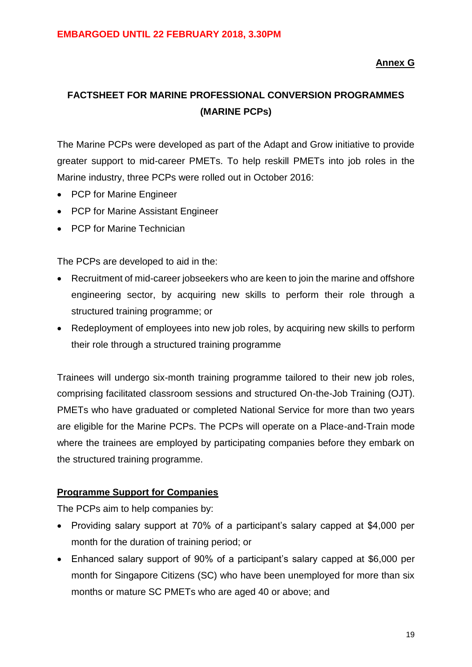## **Annex G**

## **FACTSHEET FOR MARINE PROFESSIONAL CONVERSION PROGRAMMES (MARINE PCPs)**

The Marine PCPs were developed as part of the Adapt and Grow initiative to provide greater support to mid-career PMETs. To help reskill PMETs into job roles in the Marine industry, three PCPs were rolled out in October 2016:

- PCP for Marine Engineer
- PCP for Marine Assistant Engineer
- PCP for Marine Technician

The PCPs are developed to aid in the:

- Recruitment of mid-career jobseekers who are keen to join the marine and offshore engineering sector, by acquiring new skills to perform their role through a structured training programme; or
- Redeployment of employees into new job roles, by acquiring new skills to perform their role through a structured training programme

Trainees will undergo six-month training programme tailored to their new job roles, comprising facilitated classroom sessions and structured On-the-Job Training (OJT). PMETs who have graduated or completed National Service for more than two years are eligible for the Marine PCPs. The PCPs will operate on a Place-and-Train mode where the trainees are employed by participating companies before they embark on the structured training programme.

#### **Programme Support for Companies**

The PCPs aim to help companies by:

- Providing salary support at 70% of a participant's salary capped at \$4,000 per month for the duration of training period; or
- Enhanced salary support of 90% of a participant's salary capped at \$6,000 per month for Singapore Citizens (SC) who have been unemployed for more than six months or mature SC PMETs who are aged 40 or above; and